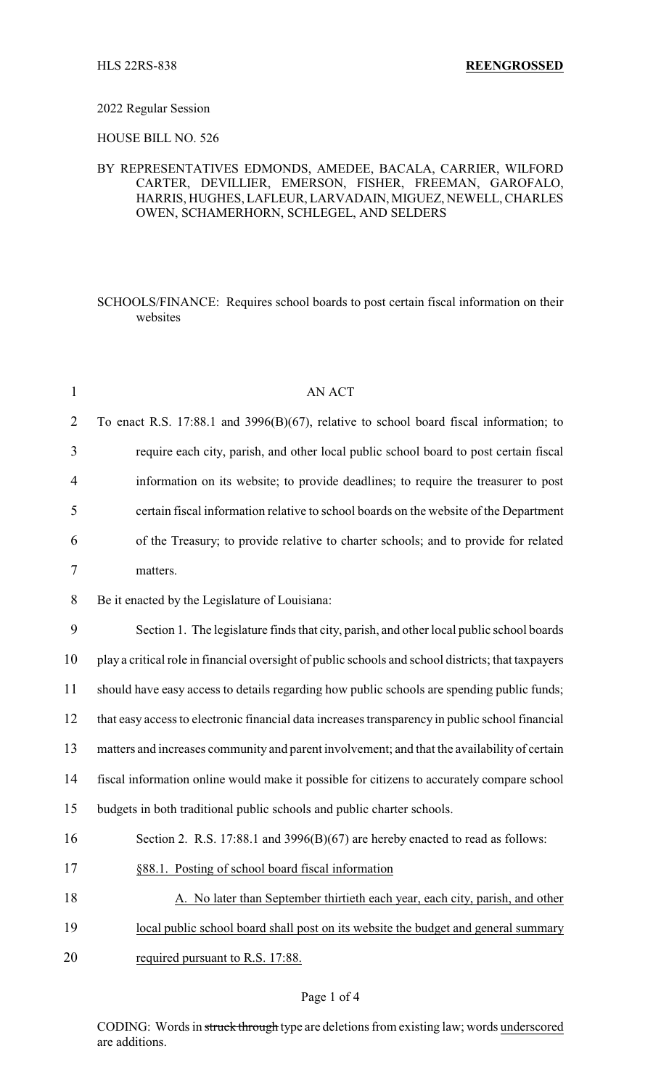## 2022 Regular Session

HOUSE BILL NO. 526

## BY REPRESENTATIVES EDMONDS, AMEDEE, BACALA, CARRIER, WILFORD CARTER, DEVILLIER, EMERSON, FISHER, FREEMAN, GAROFALO, HARRIS, HUGHES, LAFLEUR, LARVADAIN, MIGUEZ, NEWELL,CHARLES OWEN, SCHAMERHORN, SCHLEGEL, AND SELDERS

SCHOOLS/FINANCE: Requires school boards to post certain fiscal information on their websites

| $\mathbf{1}$   | <b>AN ACT</b>                                                                                      |
|----------------|----------------------------------------------------------------------------------------------------|
| $\overline{2}$ | To enact R.S. 17:88.1 and 3996(B)(67), relative to school board fiscal information; to             |
| 3              | require each city, parish, and other local public school board to post certain fiscal              |
| 4              | information on its website; to provide deadlines; to require the treasurer to post                 |
| 5              | certain fiscal information relative to school boards on the website of the Department              |
| 6              | of the Treasury; to provide relative to charter schools; and to provide for related                |
| 7              | matters.                                                                                           |
| 8              | Be it enacted by the Legislature of Louisiana:                                                     |
| 9              | Section 1. The legislature finds that city, parish, and other local public school boards           |
| 10             | play a critical role in financial oversight of public schools and school districts; that taxpayers |
| 11             | should have easy access to details regarding how public schools are spending public funds;         |
| 12             | that easy access to electronic financial data increases transparency in public school financial    |
| 13             | matters and increases community and parent involvement; and that the availability of certain       |
| 14             | fiscal information online would make it possible for citizens to accurately compare school         |
| 15             | budgets in both traditional public schools and public charter schools.                             |
| 16             | Section 2. R.S. 17:88.1 and $3996(B)(67)$ are hereby enacted to read as follows:                   |
| 17             | §88.1. Posting of school board fiscal information                                                  |
| 18             | A. No later than September thirtieth each year, each city, parish, and other                       |
| 19             | local public school board shall post on its website the budget and general summary                 |
| 20             | required pursuant to R.S. 17:88.                                                                   |
|                |                                                                                                    |

CODING: Words in struck through type are deletions from existing law; words underscored are additions.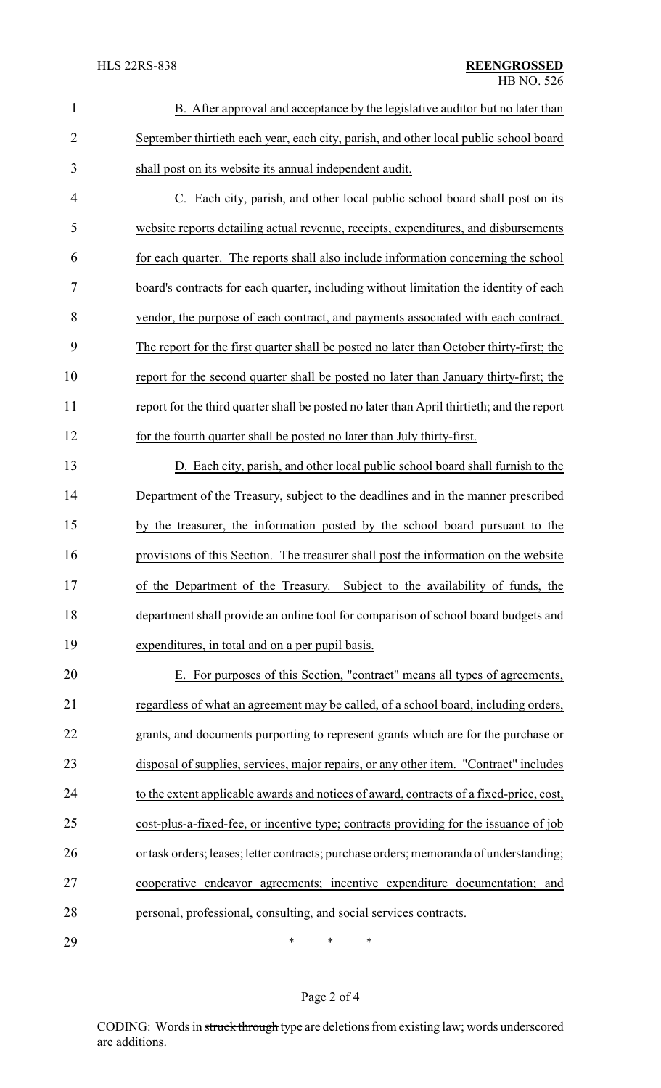| $\mathbf{1}$   | B. After approval and acceptance by the legislative auditor but no later than              |
|----------------|--------------------------------------------------------------------------------------------|
| $\overline{2}$ | September thirtieth each year, each city, parish, and other local public school board      |
| 3              | shall post on its website its annual independent audit.                                    |
| $\overline{4}$ | C. Each city, parish, and other local public school board shall post on its                |
| 5              | website reports detailing actual revenue, receipts, expenditures, and disbursements        |
| 6              | for each quarter. The reports shall also include information concerning the school         |
| 7              | board's contracts for each quarter, including without limitation the identity of each      |
| 8              | vendor, the purpose of each contract, and payments associated with each contract.          |
| 9              | The report for the first quarter shall be posted no later than October thirty-first; the   |
| 10             | report for the second quarter shall be posted no later than January thirty-first; the      |
| 11             | report for the third quarter shall be posted no later than April thirtieth; and the report |
| 12             | for the fourth quarter shall be posted no later than July thirty-first.                    |
| 13             | D. Each city, parish, and other local public school board shall furnish to the             |
| 14             | Department of the Treasury, subject to the deadlines and in the manner prescribed          |
| 15             | by the treasurer, the information posted by the school board pursuant to the               |
| 16             | provisions of this Section. The treasurer shall post the information on the website        |
| 17             | of the Department of the Treasury. Subject to the availability of funds, the               |
| 18             | department shall provide an online tool for comparison of school board budgets and         |
| 19             | expenditures, in total and on a per pupil basis.                                           |
| 20             | E. For purposes of this Section, "contract" means all types of agreements,                 |
| 21             | regardless of what an agreement may be called, of a school board, including orders,        |
| 22             | grants, and documents purporting to represent grants which are for the purchase or         |
| 23             | disposal of supplies, services, major repairs, or any other item. "Contract" includes      |
| 24             | to the extent applicable awards and notices of award, contracts of a fixed-price, cost,    |
| 25             | cost-plus-a-fixed-fee, or incentive type; contracts providing for the issuance of job      |
| 26             | or task orders; leases; letter contracts; purchase orders; memoranda of understanding;     |
| 27             | cooperative endeavor agreements; incentive expenditure documentation; and                  |
| 28             | personal, professional, consulting, and social services contracts.                         |
| 29             | $\ast$<br>$\ast$<br>∗                                                                      |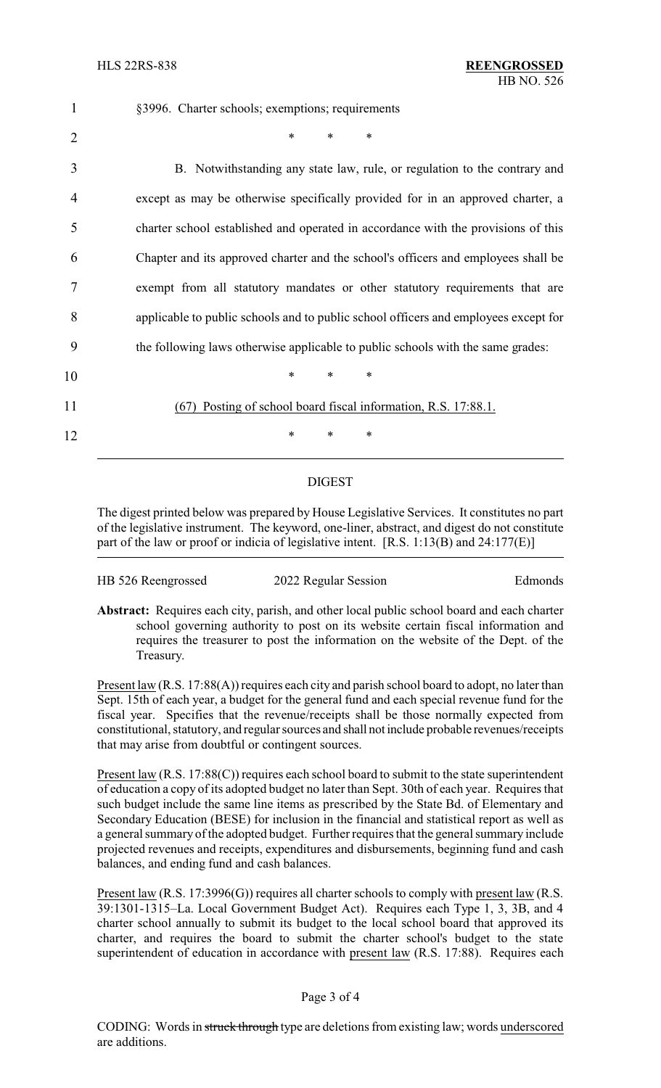| $\mathbf{1}$   | §3996. Charter schools; exemptions; requirements                                    |
|----------------|-------------------------------------------------------------------------------------|
| $\overline{2}$ | $\ast$<br>$\ast$<br>$\ast$                                                          |
| 3              | B. Notwithstanding any state law, rule, or regulation to the contrary and           |
| 4              | except as may be otherwise specifically provided for in an approved charter, a      |
| 5              | charter school established and operated in accordance with the provisions of this   |
| 6              | Chapter and its approved charter and the school's officers and employees shall be   |
| 7              | exempt from all statutory mandates or other statutory requirements that are         |
| 8              | applicable to public schools and to public school officers and employees except for |
| 9              | the following laws otherwise applicable to public schools with the same grades:     |
| 10             | $\ast$<br>∗<br>$\ast$                                                               |
| 11             | Posting of school board fiscal information, R.S. 17:88.1.<br>(67)                   |
| 12             | $\ast$<br>*<br>∗                                                                    |

## DIGEST

The digest printed below was prepared by House Legislative Services. It constitutes no part of the legislative instrument. The keyword, one-liner, abstract, and digest do not constitute part of the law or proof or indicia of legislative intent. [R.S. 1:13(B) and 24:177(E)]

| HB 526 Reengrossed | 2022 Regular Session | Edmonds |
|--------------------|----------------------|---------|
|--------------------|----------------------|---------|

**Abstract:** Requires each city, parish, and other local public school board and each charter school governing authority to post on its website certain fiscal information and requires the treasurer to post the information on the website of the Dept. of the Treasury.

Present law (R.S. 17:88(A)) requires each city and parish school board to adopt, no later than Sept. 15th of each year, a budget for the general fund and each special revenue fund for the fiscal year. Specifies that the revenue/receipts shall be those normally expected from constitutional, statutory, and regular sources and shall not include probable revenues/receipts that may arise from doubtful or contingent sources.

Present law (R.S. 17:88(C)) requires each school board to submit to the state superintendent of education a copy of its adopted budget no later than Sept. 30th of each year. Requires that such budget include the same line items as prescribed by the State Bd. of Elementary and Secondary Education (BESE) for inclusion in the financial and statistical report as well as a general summary of the adopted budget. Further requires that the general summary include projected revenues and receipts, expenditures and disbursements, beginning fund and cash balances, and ending fund and cash balances.

Present law (R.S. 17:3996(G)) requires all charter schools to comply with present law (R.S. 39:1301-1315–La. Local Government Budget Act). Requires each Type 1, 3, 3B, and 4 charter school annually to submit its budget to the local school board that approved its charter, and requires the board to submit the charter school's budget to the state superintendent of education in accordance with present law (R.S. 17:88). Requires each